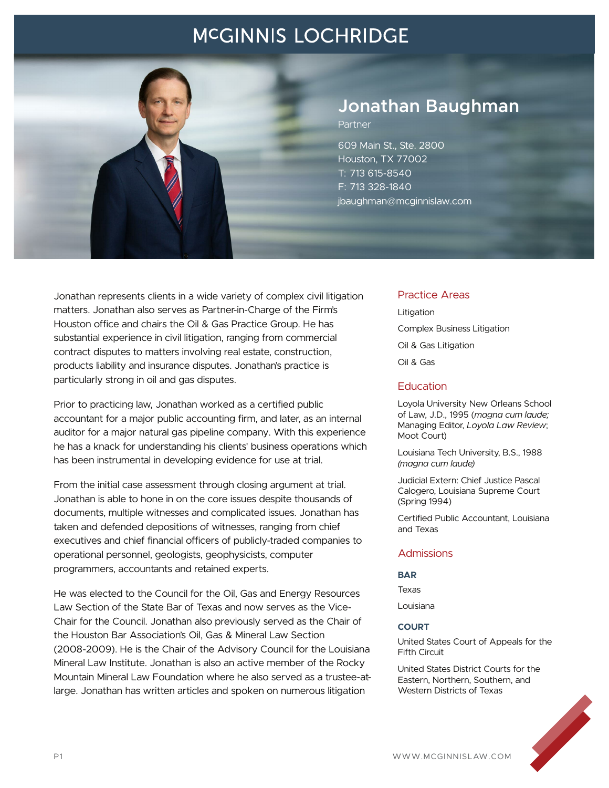

### **Jonathan Baughman**

Partner

609 Main St., Ste. 2800 Houston, TX 77002 T: 713 615-8540 F: 713 328-1840 jbaughman@mcginnislaw.com

Jonathan represents clients in a wide variety of complex civil litigation matters. Jonathan also serves as Partner-in-Charge of the Firm's Houston office and chairs the Oil & Gas Practice Group. He has substantial experience in civil litigation, ranging from commercial contract disputes to matters involving real estate, construction, products liability and insurance disputes. Jonathan's practice is particularly strong in oil and gas disputes.

Prior to practicing law, Jonathan worked as a certified public accountant for a major public accounting firm, and later, as an internal auditor for a major natural gas pipeline company. With this experience he has a knack for understanding his clients' business operations which has been instrumental in developing evidence for use at trial.

From the initial case assessment through closing argument at trial. Jonathan is able to hone in on the core issues despite thousands of documents, multiple witnesses and complicated issues. Jonathan has taken and defended depositions of witnesses, ranging from chief executives and chief financial officers of publicly-traded companies to operational personnel, geologists, geophysicists, computer programmers, accountants and retained experts.

He was elected to the Council for the Oil, Gas and Energy Resources Law Section of the State Bar of Texas and now serves as the Vice-Chair for the Council. Jonathan also previously served as the Chair of the Houston Bar Association's Oil, Gas & Mineral Law Section (2008-2009). He is the Chair of the Advisory Council for the Louisiana Mineral Law Institute. Jonathan is also an active member of the Rocky Mountain Mineral Law Foundation where he also served as a trustee-atlarge. Jonathan has written articles and spoken on numerous litigation

#### Practice Areas

Litigation Complex Business Litigation Oil & Gas Litigation Oil & Gas

#### **Education**

Loyola University New Orleans School of Law, J.D., 1995 (*magna cum laude;* Managing Editor, *Loyola Law Review*; Moot Court)

Louisiana Tech University, B.S., 1988 *(magna cum laude)*

Judicial Extern: Chief Justice Pascal Calogero, Louisiana Supreme Court (Spring 1994)

Certified Public Accountant, Louisiana and Texas

#### **Admissions**

#### **BAR**

Texas

Louisiana

#### **COURT**

United States Court of Appeals for the Fifth Circuit

United States District Courts for the Eastern, Northern, Southern, and Western Districts of Texas

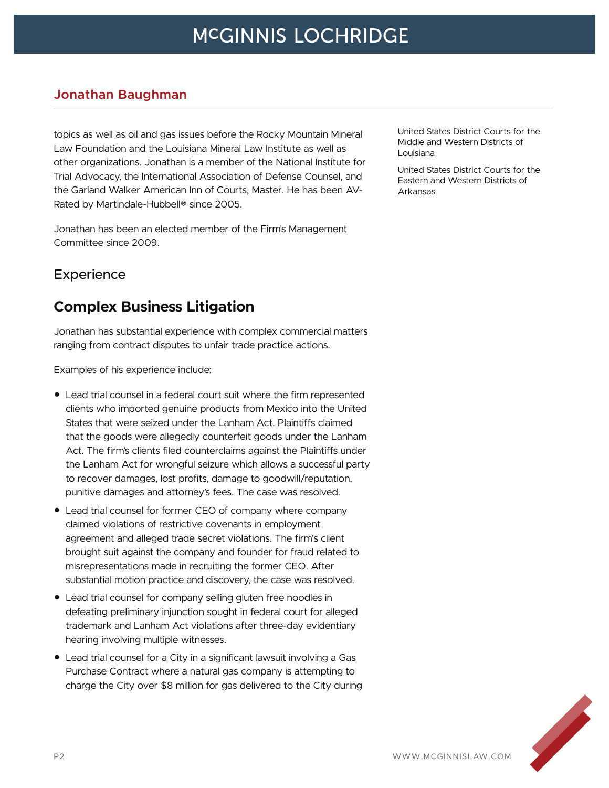#### **Jonathan Baughman**

topics as well as oil and gas issues before the Rocky Mountain Mineral Law Foundation and the Louisiana Mineral Law Institute as well as other organizations. Jonathan is a member of the National Institute for Trial Advocacy, the International Association of Defense Counsel, and the Garland Walker American Inn of Courts, Master. He has been AV-Rated by Martindale-Hubbell® since 2005.

Jonathan has been an elected member of the Firm's Management Committee since 2009.

### **Experience**

### **Complex Business Litigation**

Jonathan has substantial experience with complex commercial matters ranging from contract disputes to unfair trade practice actions.

Examples of his experience include:

- Lead trial counsel in a federal court suit where the firm represented clients who imported genuine products from Mexico into the United States that were seized under the Lanham Act. Plaintiffs claimed that the goods were allegedly counterfeit goods under the Lanham Act. The firm's clients filed counterclaims against the Plaintiffs under the Lanham Act for wrongful seizure which allows a successful party to recover damages, lost profits, damage to goodwill/reputation, punitive damages and attorney's fees. The case was resolved.
- Lead trial counsel for former CEO of company where company claimed violations of restrictive covenants in employment agreement and alleged trade secret violations. The firm's client brought suit against the company and founder for fraud related to misrepresentations made in recruiting the former CEO. After substantial motion practice and discovery, the case was resolved.
- Lead trial counsel for company selling gluten free noodles in defeating preliminary injunction sought in federal court for alleged trademark and Lanham Act violations after three-day evidentiary hearing involving multiple witnesses.
- Lead trial counsel for a City in a significant lawsuit involving a Gas Purchase Contract where a natural gas company is attempting to charge the City over \$8 million for gas delivered to the City during

United States District Courts for the Middle and Western Districts of Louisiana

United States District Courts for the Eastern and Western Districts of Arkansas

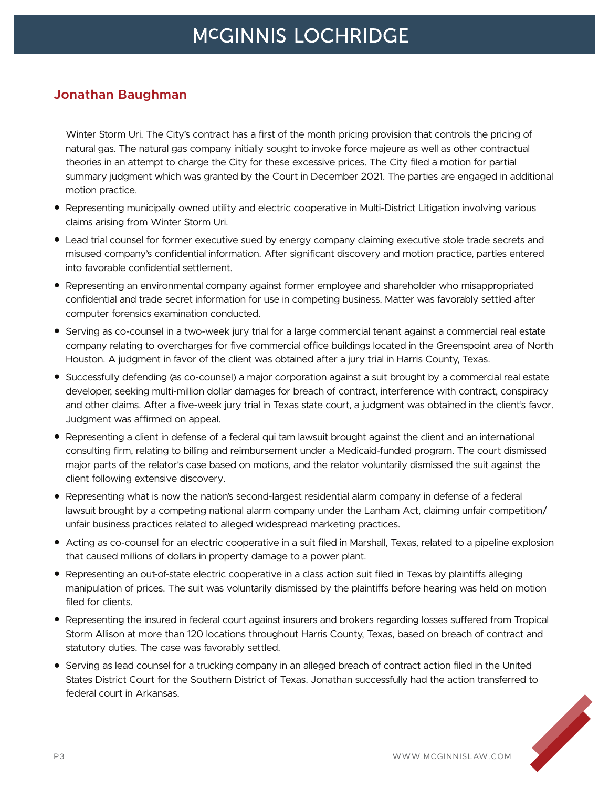#### **Jonathan Baughman**

Winter Storm Uri. The City's contract has a first of the month pricing provision that controls the pricing of natural gas. The natural gas company initially sought to invoke force majeure as well as other contractual theories in an attempt to charge the City for these excessive prices. The City filed a motion for partial summary judgment which was granted by the Court in December 2021. The parties are engaged in additional motion practice.

- Representing municipally owned utility and electric cooperative in Multi-District Litigation involving various claims arising from Winter Storm Uri.
- Lead trial counsel for former executive sued by energy company claiming executive stole trade secrets and misused company's confidential information. After significant discovery and motion practice, parties entered into favorable confidential settlement.
- Representing an environmental company against former employee and shareholder who misappropriated confidential and trade secret information for use in competing business. Matter was favorably settled after computer forensics examination conducted.
- Serving as co-counsel in a two-week jury trial for a large commercial tenant against a commercial real estate company relating to overcharges for five commercial office buildings located in the Greenspoint area of North Houston. A judgment in favor of the client was obtained after a jury trial in Harris County, Texas.
- Successfully defending (as co-counsel) a major corporation against a suit brought by a commercial real estate developer, seeking multi-million dollar damages for breach of contract, interference with contract, conspiracy and other claims. After a five-week jury trial in Texas state court, a judgment was obtained in the client's favor. Judgment was affirmed on appeal.
- Representing a client in defense of a federal qui tam lawsuit brought against the client and an international consulting firm, relating to billing and reimbursement under a Medicaid-funded program. The court dismissed major parts of the relator's case based on motions, and the relator voluntarily dismissed the suit against the client following extensive discovery.
- Representing what is now the nation's second-largest residential alarm company in defense of a federal lawsuit brought by a competing national alarm company under the Lanham Act, claiming unfair competition/ unfair business practices related to alleged widespread marketing practices.
- Acting as co-counsel for an electric cooperative in a suit filed in Marshall, Texas, related to a pipeline explosion that caused millions of dollars in property damage to a power plant.
- Representing an out-of-state electric cooperative in a class action suit filed in Texas by plaintiffs alleging manipulation of prices. The suit was voluntarily dismissed by the plaintiffs before hearing was held on motion filed for clients.
- Representing the insured in federal court against insurers and brokers regarding losses suffered from Tropical Storm Allison at more than 120 locations throughout Harris County, Texas, based on breach of contract and statutory duties. The case was favorably settled.
- Serving as lead counsel for a trucking company in an alleged breach of contract action filed in the United States District Court for the Southern District of Texas. Jonathan successfully had the action transferred to federal court in Arkansas.

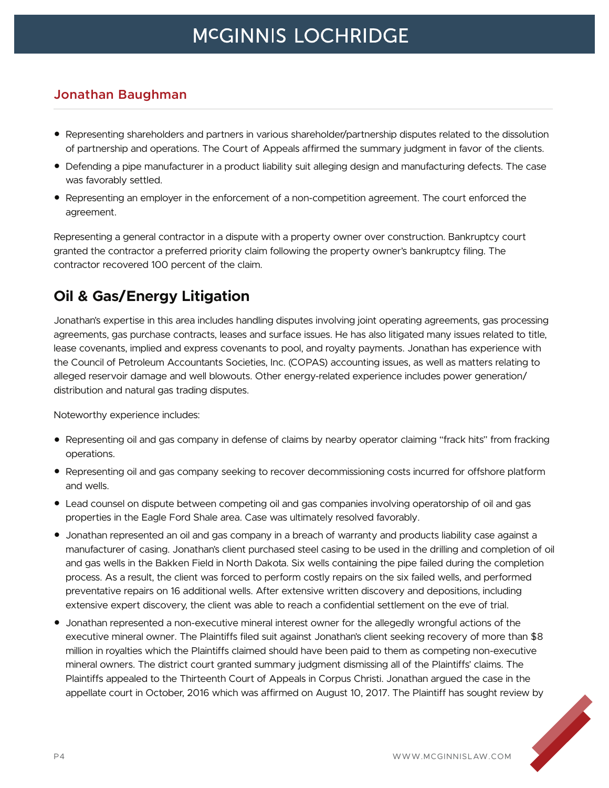### **Jonathan Baughman**

- Representing shareholders and partners in various shareholder/partnership disputes related to the dissolution of partnership and operations. The Court of Appeals affirmed the summary judgment in favor of the clients.
- Defending a pipe manufacturer in a product liability suit alleging design and manufacturing defects. The case was favorably settled.
- Representing an employer in the enforcement of a non-competition agreement. The court enforced the agreement.

Representing a general contractor in a dispute with a property owner over construction. Bankruptcy court granted the contractor a preferred priority claim following the property owner's bankruptcy filing. The contractor recovered 100 percent of the claim.

### **Oil & Gas/Energy Litigation**

Jonathan's expertise in this area includes handling disputes involving joint operating agreements, gas processing agreements, gas purchase contracts, leases and surface issues. He has also litigated many issues related to title, lease covenants, implied and express covenants to pool, and royalty payments. Jonathan has experience with the Council of Petroleum Accountants Societies, Inc. (COPAS) accounting issues, as well as matters relating to alleged reservoir damage and well blowouts. Other energy-related experience includes power generation/ distribution and natural gas trading disputes.

Noteworthy experience includes:

- Representing oil and gas company in defense of claims by nearby operator claiming "frack hits" from fracking operations.
- Representing oil and gas company seeking to recover decommissioning costs incurred for offshore platform and wells.
- Lead counsel on dispute between competing oil and gas companies involving operatorship of oil and gas properties in the Eagle Ford Shale area. Case was ultimately resolved favorably.
- Jonathan represented an oil and gas company in a breach of warranty and products liability case against a manufacturer of casing. Jonathan's client purchased steel casing to be used in the drilling and completion of oil and gas wells in the Bakken Field in North Dakota. Six wells containing the pipe failed during the completion process. As a result, the client was forced to perform costly repairs on the six failed wells, and performed preventative repairs on 16 additional wells. After extensive written discovery and depositions, including extensive expert discovery, the client was able to reach a confidential settlement on the eve of trial.
- Jonathan represented a non-executive mineral interest owner for the allegedly wrongful actions of the executive mineral owner. The Plaintiffs filed suit against Jonathan's client seeking recovery of more than \$8 million in royalties which the Plaintiffs claimed should have been paid to them as competing non-executive mineral owners. The district court granted summary judgment dismissing all of the Plaintiffs' claims. The Plaintiffs appealed to the Thirteenth Court of Appeals in Corpus Christi. Jonathan argued the case in the appellate court in October, 2016 which was affirmed on August 10, 2017. The Plaintiff has sought review by

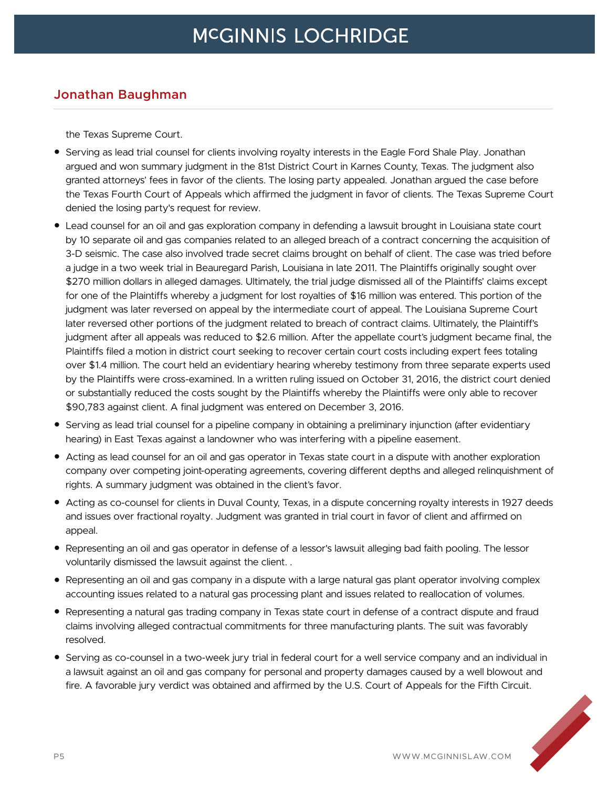#### **Jonathan Baughman**

the Texas Supreme Court.

- Serving as lead trial counsel for clients involving royalty interests in the Eagle Ford Shale Play. Jonathan argued and won summary judgment in the 81st District Court in Karnes County, Texas. The judgment also granted attorneys' fees in favor of the clients. The losing party appealed. Jonathan argued the case before the Texas Fourth Court of Appeals which affirmed the judgment in favor of clients. The Texas Supreme Court denied the losing party's request for review.
- Lead counsel for an oil and gas exploration company in defending a lawsuit brought in Louisiana state court by 10 separate oil and gas companies related to an alleged breach of a contract concerning the acquisition of 3-D seismic. The case also involved trade secret claims brought on behalf of client. The case was tried before a judge in a two week trial in Beauregard Parish, Louisiana in late 2011. The Plaintiffs originally sought over \$270 million dollars in alleged damages. Ultimately, the trial judge dismissed all of the Plaintiffs' claims except for one of the Plaintiffs whereby a judgment for lost royalties of \$16 million was entered. This portion of the judgment was later reversed on appeal by the intermediate court of appeal. The Louisiana Supreme Court later reversed other portions of the judgment related to breach of contract claims. Ultimately, the Plaintiff's judgment after all appeals was reduced to \$2.6 million. After the appellate court's judgment became final, the Plaintiffs filed a motion in district court seeking to recover certain court costs including expert fees totaling over \$1.4 million. The court held an evidentiary hearing whereby testimony from three separate experts used by the Plaintiffs were cross-examined. In a written ruling issued on October 31, 2016, the district court denied or substantially reduced the costs sought by the Plaintiffs whereby the Plaintiffs were only able to recover \$90,783 against client. A final judgment was entered on December 3, 2016.
- Serving as lead trial counsel for a pipeline company in obtaining a preliminary injunction (after evidentiary hearing) in East Texas against a landowner who was interfering with a pipeline easement.
- Acting as lead counsel for an oil and gas operator in Texas state court in a dispute with another exploration company over competing joint-operating agreements, covering different depths and alleged relinquishment of rights. A summary judgment was obtained in the client's favor.
- Acting as co-counsel for clients in Duval County, Texas, in a dispute concerning royalty interests in 1927 deeds and issues over fractional royalty. Judgment was granted in trial court in favor of client and affirmed on appeal.
- Representing an oil and gas operator in defense of a lessor's lawsuit alleging bad faith pooling. The lessor voluntarily dismissed the lawsuit against the client. .
- Representing an oil and gas company in a dispute with a large natural gas plant operator involving complex accounting issues related to a natural gas processing plant and issues related to reallocation of volumes.
- Representing a natural gas trading company in Texas state court in defense of a contract dispute and fraud claims involving alleged contractual commitments for three manufacturing plants. The suit was favorably resolved.
- Serving as co-counsel in a two-week jury trial in federal court for a well service company and an individual in a lawsuit against an oil and gas company for personal and property damages caused by a well blowout and fire. A favorable jury verdict was obtained and affirmed by the U.S. Court of Appeals for the Fifth Circuit.

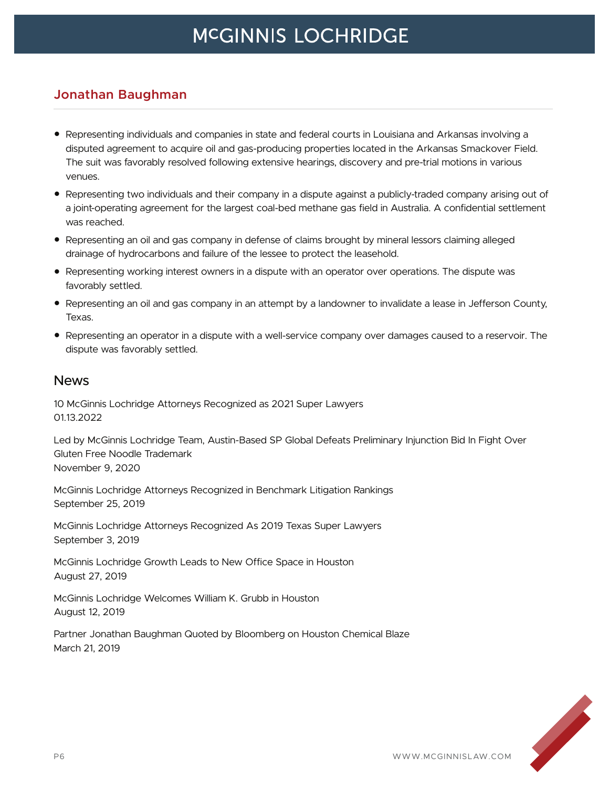#### **Jonathan Baughman**

- Representing individuals and companies in state and federal courts in Louisiana and Arkansas involving a disputed agreement to acquire oil and gas-producing properties located in the Arkansas Smackover Field. The suit was favorably resolved following extensive hearings, discovery and pre-trial motions in various venues.
- Representing two individuals and their company in a dispute against a publicly-traded company arising out of a joint-operating agreement for the largest coal-bed methane gas field in Australia. A confidential settlement was reached.
- Representing an oil and gas company in defense of claims brought by mineral lessors claiming alleged drainage of hydrocarbons and failure of the lessee to protect the leasehold.
- Representing working interest owners in a dispute with an operator over operations. The dispute was favorably settled.
- Representing an oil and gas company in an attempt by a landowner to invalidate a lease in Jefferson County, Texas.
- Representing an operator in a dispute with a well-service company over damages caused to a reservoir. The dispute was favorably settled.

#### News

10 McGinnis Lochridge Attorneys Recognized as 2021 Super Lawyers 01.13.2022

Led by McGinnis Lochridge Team, Austin-Based SP Global Defeats Preliminary Injunction Bid In Fight Over Gluten Free Noodle Trademark November 9, 2020

McGinnis Lochridge Attorneys Recognized in Benchmark Litigation Rankings September 25, 2019

McGinnis Lochridge Attorneys Recognized As 2019 Texas Super Lawyers September 3, 2019

McGinnis Lochridge Growth Leads to New Office Space in Houston August 27, 2019

McGinnis Lochridge Welcomes William K. Grubb in Houston August 12, 2019

Partner Jonathan Baughman Quoted by Bloomberg on Houston Chemical Blaze March 21, 2019

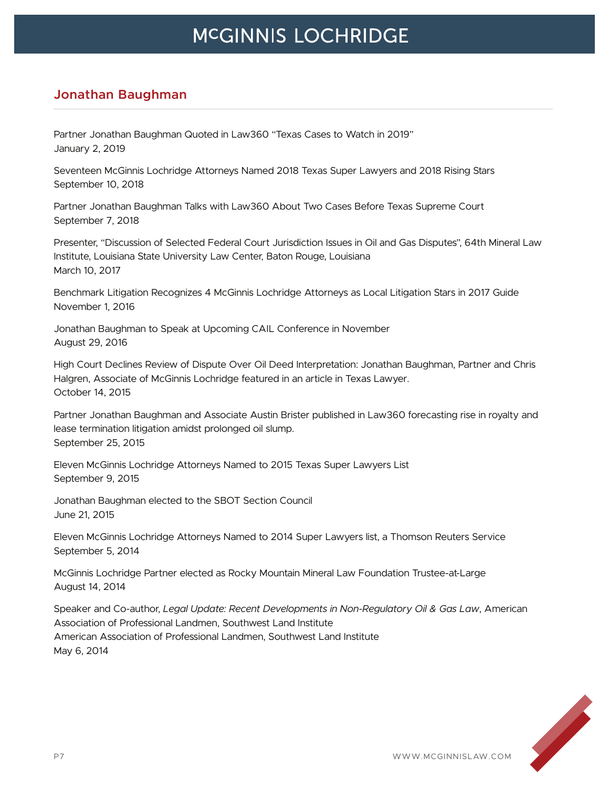### **Jonathan Baughman**

Partner Jonathan Baughman Quoted in Law360 "Texas Cases to Watch in 2019" January 2, 2019

Seventeen McGinnis Lochridge Attorneys Named 2018 Texas Super Lawyers and 2018 Rising Stars September 10, 2018

Partner Jonathan Baughman Talks with Law360 About Two Cases Before Texas Supreme Court September 7, 2018

Presenter, "Discussion of Selected Federal Court Jurisdiction Issues in Oil and Gas Disputes", 64th Mineral Law Institute, Louisiana State University Law Center, Baton Rouge, Louisiana March 10, 2017

Benchmark Litigation Recognizes 4 McGinnis Lochridge Attorneys as Local Litigation Stars in 2017 Guide November 1, 2016

Jonathan Baughman to Speak at Upcoming CAIL Conference in November August 29, 2016

High Court Declines Review of Dispute Over Oil Deed Interpretation: Jonathan Baughman, Partner and Chris Halgren, Associate of McGinnis Lochridge featured in an article in Texas Lawyer. October 14, 2015

Partner Jonathan Baughman and Associate Austin Brister published in Law360 forecasting rise in royalty and lease termination litigation amidst prolonged oil slump. September 25, 2015

Eleven McGinnis Lochridge Attorneys Named to 2015 Texas Super Lawyers List September 9, 2015

Jonathan Baughman elected to the SBOT Section Council June 21, 2015

Eleven McGinnis Lochridge Attorneys Named to 2014 Super Lawyers list, a Thomson Reuters Service September 5, 2014

McGinnis Lochridge Partner elected as Rocky Mountain Mineral Law Foundation Trustee-at-Large August 14, 2014

Speaker and Co-author, *Legal Update: Recent Developments in Non-Regulatory Oil & Gas Law*, American Association of Professional Landmen, Southwest Land Institute American Association of Professional Landmen, Southwest Land Institute May 6, 2014

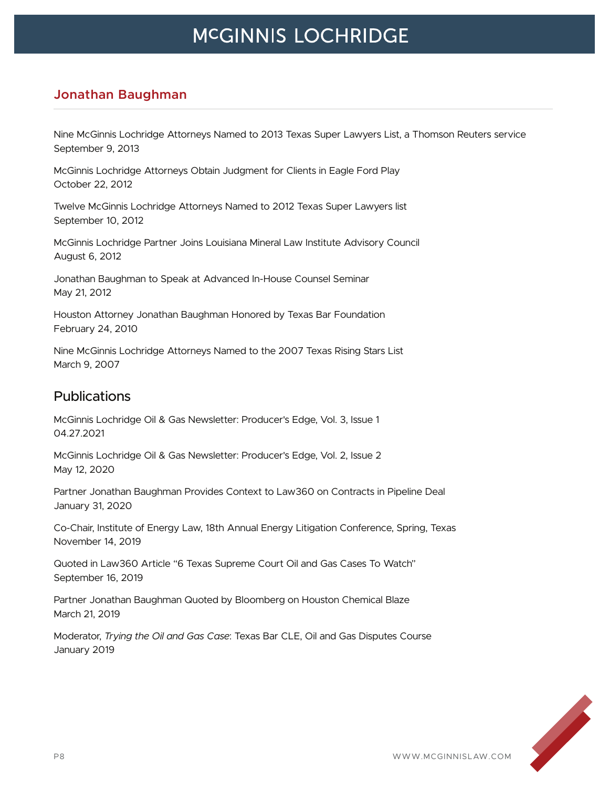### **Jonathan Baughman**

Nine McGinnis Lochridge Attorneys Named to 2013 Texas Super Lawyers List, a Thomson Reuters service September 9, 2013

McGinnis Lochridge Attorneys Obtain Judgment for Clients in Eagle Ford Play October 22, 2012

Twelve McGinnis Lochridge Attorneys Named to 2012 Texas Super Lawyers list September 10, 2012

McGinnis Lochridge Partner Joins Louisiana Mineral Law Institute Advisory Council August 6, 2012

Jonathan Baughman to Speak at Advanced In-House Counsel Seminar May 21, 2012

Houston Attorney Jonathan Baughman Honored by Texas Bar Foundation February 24, 2010

Nine McGinnis Lochridge Attorneys Named to the 2007 Texas Rising Stars List March 9, 2007

#### **Publications**

McGinnis Lochridge Oil & Gas Newsletter: Producer's Edge, Vol. 3, Issue 1 04.27.2021

McGinnis Lochridge Oil & Gas Newsletter: Producer's Edge, Vol. 2, Issue 2 May 12, 2020

Partner Jonathan Baughman Provides Context to Law360 on Contracts in Pipeline Deal January 31, 2020

Co-Chair, Institute of Energy Law, 18th Annual Energy Litigation Conference, Spring, Texas November 14, 2019

Quoted in Law360 Article "6 Texas Supreme Court Oil and Gas Cases To Watch" September 16, 2019

Partner Jonathan Baughman Quoted by Bloomberg on Houston Chemical Blaze March 21, 2019

Moderator, *Trying the Oil and Gas Case*: Texas Bar CLE, Oil and Gas Disputes Course January 2019

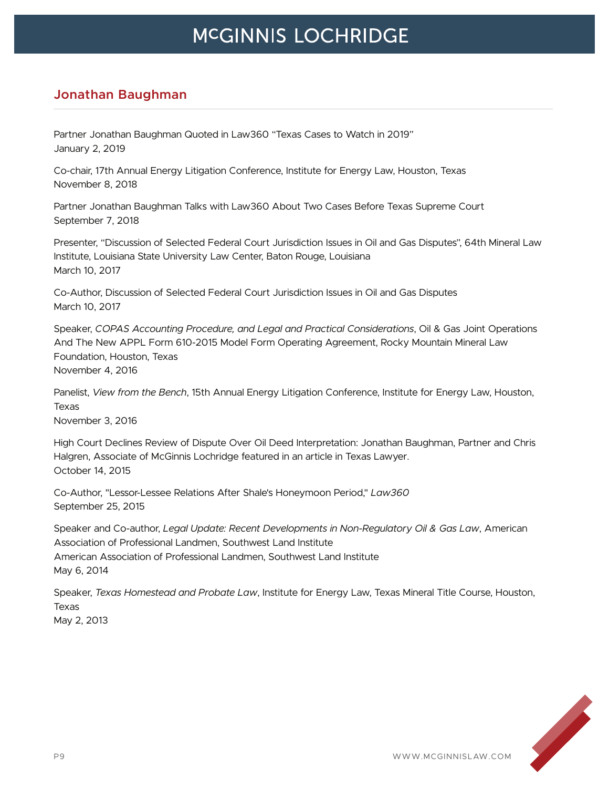### **Jonathan Baughman**

Partner Jonathan Baughman Quoted in Law360 "Texas Cases to Watch in 2019" January 2, 2019

Co-chair, 17th Annual Energy Litigation Conference, Institute for Energy Law, Houston, Texas November 8, 2018

Partner Jonathan Baughman Talks with Law360 About Two Cases Before Texas Supreme Court September 7, 2018

Presenter, "Discussion of Selected Federal Court Jurisdiction Issues in Oil and Gas Disputes", 64th Mineral Law Institute, Louisiana State University Law Center, Baton Rouge, Louisiana March 10, 2017

Co-Author, Discussion of Selected Federal Court Jurisdiction Issues in Oil and Gas Disputes March 10, 2017

Speaker, *COPAS Accounting Procedure, and Legal and Practical Considerations*, Oil & Gas Joint Operations And The New APPL Form 610-2015 Model Form Operating Agreement, Rocky Mountain Mineral Law Foundation, Houston, Texas November 4, 2016

Panelist, *View from the Bench*, 15th Annual Energy Litigation Conference, Institute for Energy Law, Houston, Texas

November 3, 2016

High Court Declines Review of Dispute Over Oil Deed Interpretation: Jonathan Baughman, Partner and Chris Halgren, Associate of McGinnis Lochridge featured in an article in Texas Lawyer. October 14, 2015

Co-Author, "Lessor-Lessee Relations After Shale's Honeymoon Period," *Law360* September 25, 2015

Speaker and Co-author, *Legal Update: Recent Developments in Non-Regulatory Oil & Gas Law*, American Association of Professional Landmen, Southwest Land Institute American Association of Professional Landmen, Southwest Land Institute May 6, 2014

Speaker, *Texas Homestead and Probate Law*, Institute for Energy Law, Texas Mineral Title Course, Houston, Texas May 2, 2013

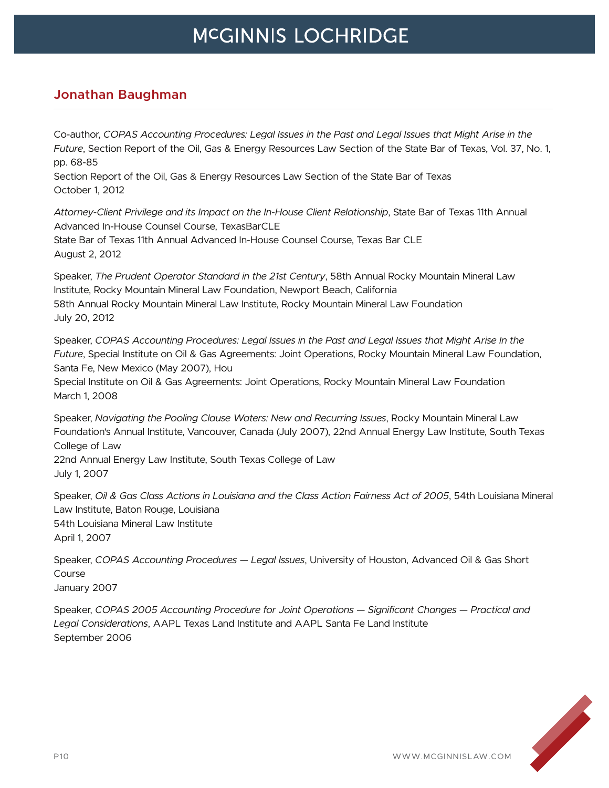### **Jonathan Baughman**

Co-author, *COPAS Accounting Procedures: Legal Issues in the Past and Legal Issues that Might Arise in the Future*, Section Report of the Oil, Gas & Energy Resources Law Section of the State Bar of Texas, Vol. 37, No. 1, pp. 68-85

Section Report of the Oil, Gas & Energy Resources Law Section of the State Bar of Texas October 1, 2012

*Attorney-Client Privilege and its Impact on the In-House Client Relationship*, State Bar of Texas 11th Annual Advanced In-House Counsel Course, TexasBarCLE State Bar of Texas 11th Annual Advanced In-House Counsel Course, Texas Bar CLE

August 2, 2012

Speaker, *The Prudent Operator Standard in the 21st Century*, 58th Annual Rocky Mountain Mineral Law Institute, Rocky Mountain Mineral Law Foundation, Newport Beach, California 58th Annual Rocky Mountain Mineral Law Institute, Rocky Mountain Mineral Law Foundation July 20, 2012

Speaker, *COPAS Accounting Procedures: Legal Issues in the Past and Legal Issues that Might Arise In the Future*, Special Institute on Oil & Gas Agreements: Joint Operations, Rocky Mountain Mineral Law Foundation, Santa Fe, New Mexico (May 2007), Hou

Special Institute on Oil & Gas Agreements: Joint Operations, Rocky Mountain Mineral Law Foundation March 1, 2008

Speaker, *Navigating the Pooling Clause Waters: New and Recurring Issues*, Rocky Mountain Mineral Law Foundation's Annual Institute, Vancouver, Canada (July 2007), 22nd Annual Energy Law Institute, South Texas College of Law

22nd Annual Energy Law Institute, South Texas College of Law July 1, 2007

Speaker, *Oil & Gas Class Actions in Louisiana and the Class Action Fairness Act of 2005*, 54th Louisiana Mineral Law Institute, Baton Rouge, Louisiana 54th Louisiana Mineral Law Institute April 1, 2007

Speaker, *COPAS Accounting Procedures — Legal Issues*, University of Houston, Advanced Oil & Gas Short Course January 2007

Speaker, *COPAS 2005 Accounting Procedure for Joint Operations — Significant Changes — Practical and Legal Considerations*, AAPL Texas Land Institute and AAPL Santa Fe Land Institute September 2006